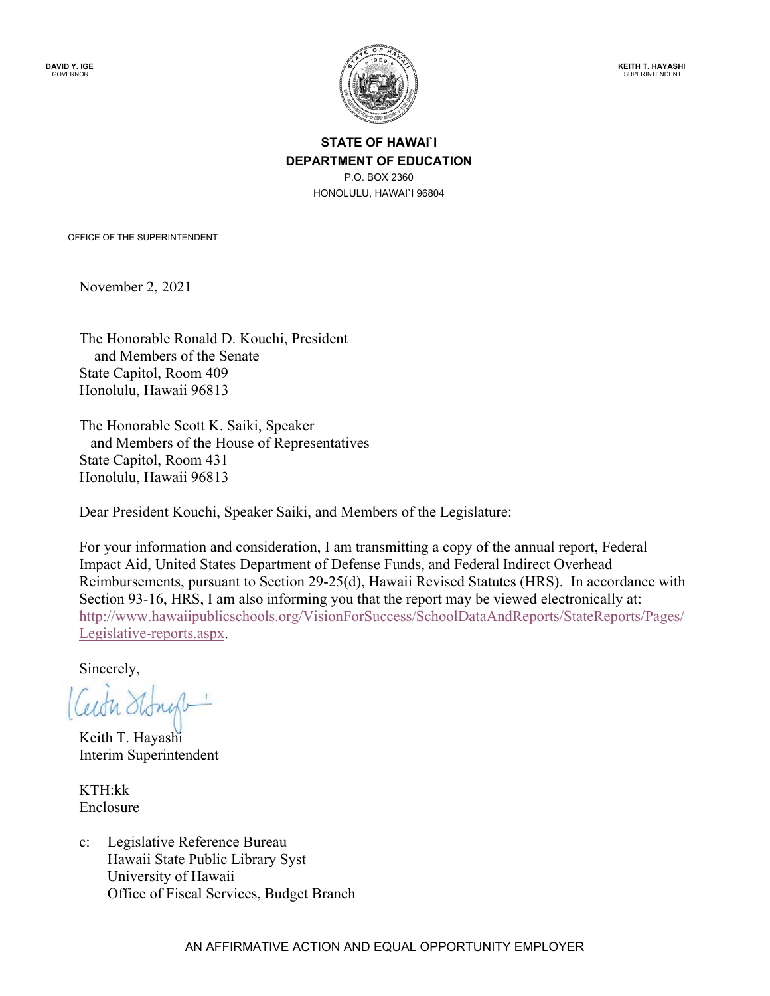**DAVID Y. IGE**GOVERNOR



**STATE OF HAWAI`I DEPARTMENT OF EDUCATION** P.O. BOX 2360 HONOLULU, HAWAI`I 96804

OFFICE OF THE SUPERINTENDENT

November 2, 2021

The Honorable Ronald D. Kouchi, President and Members of the Senate State Capitol, Room 409 Honolulu, Hawaii 96813

The Honorable Scott K. Saiki, Speaker and Members of the House of Representatives State Capitol, Room 431 Honolulu, Hawaii 96813

Dear President Kouchi, Speaker Saiki, and Members of the Legislature:

For your information and consideration, I am transmitting a copy of the annual report, Federal Impact Aid, United States Department of Defense Funds, and Federal Indirect Overhead Reimbursements, pursuant to Section 29-25(d), Hawaii Revised Statutes (HRS). In accordance with Section 93-16, HRS, I am also informing you that the report may be viewed electronically at: [http://www.hawaiipublicschools.org/VisionForSuccess/SchoolDataAndReports/StateReports/Pages/](http://www.hawaiipublicschools.org/VisionForSuccess/SchoolDataAndReports/StateReports/Pages/Legislative-reports.aspx) [Legislative-reports.aspx.](http://www.hawaiipublicschools.org/VisionForSuccess/SchoolDataAndReports/StateReports/Pages/Legislative-reports.aspx)

Sincerely,

Cestr Stongt

Keith T. Hayashi Interim Superintendent

KTH:kk Enclosure

c: Legislative Reference Bureau Hawaii State Public Library Syst University of Hawaii Office of Fiscal Services, Budget Branch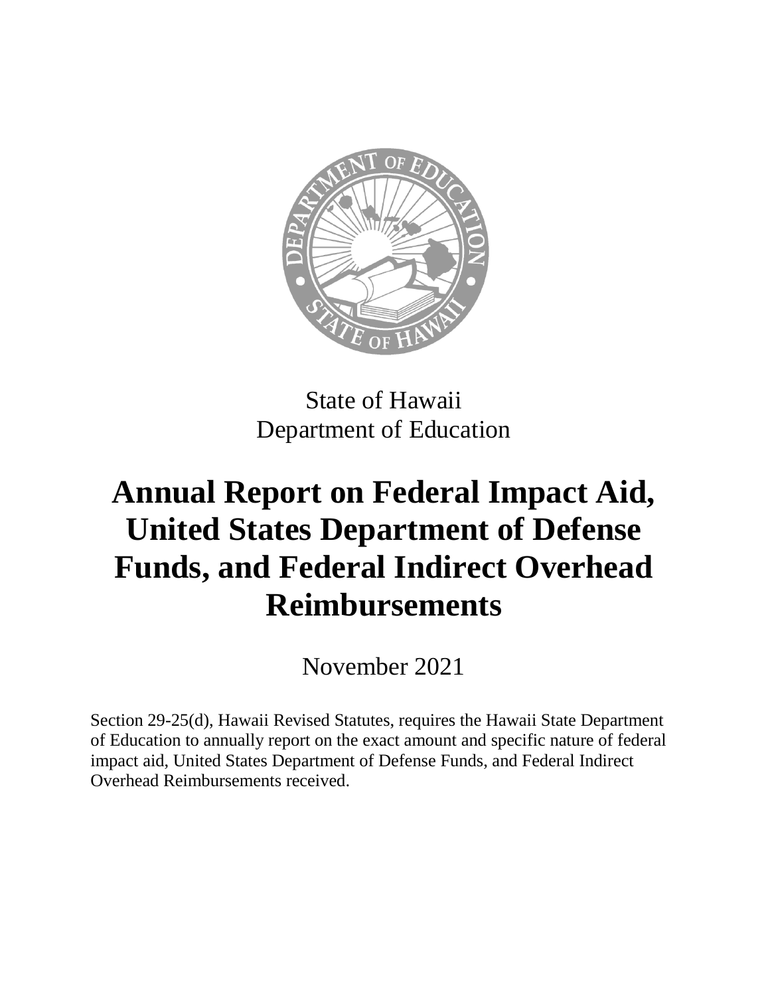

State of Hawaii Department of Education

## **Annual Report on Federal Impact Aid, United States Department of Defense Funds, and Federal Indirect Overhead Reimbursements**

November 2021

Section 29-25(d), Hawaii Revised Statutes, requires the Hawaii State Department of Education to annually report on the exact amount and specific nature of federal impact aid, United States Department of Defense Funds, and Federal Indirect Overhead Reimbursements received.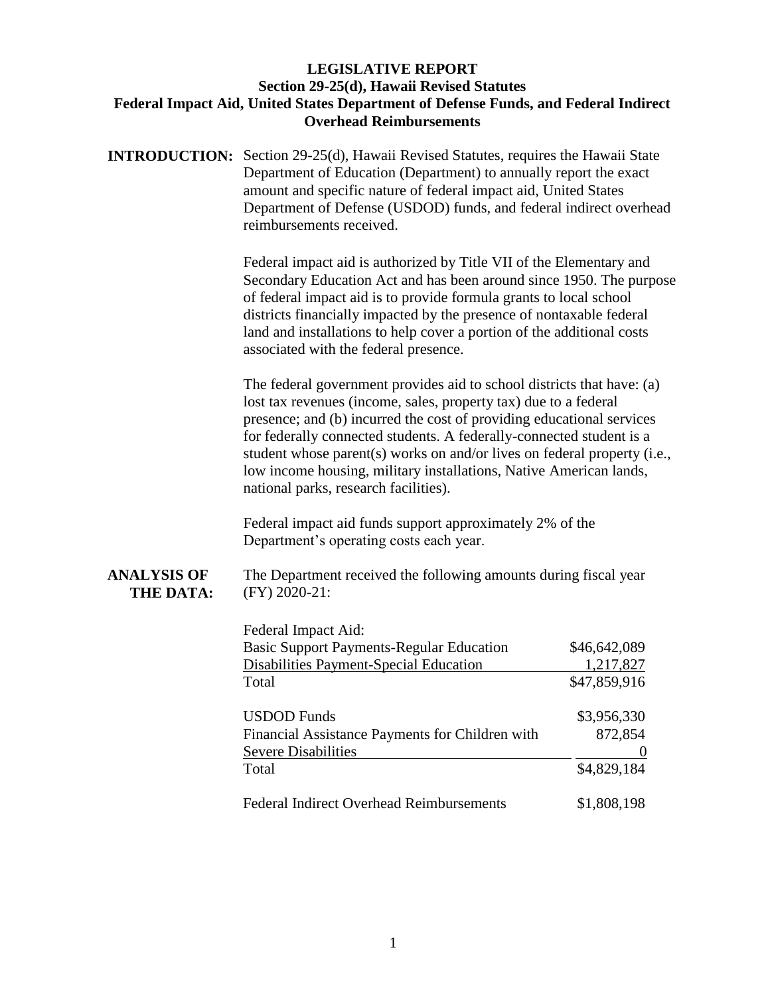| <b>LEGISLATIVE REPORT</b>                                                           |
|-------------------------------------------------------------------------------------|
| Section 29-25(d), Hawaii Revised Statutes                                           |
| Federal Impact Aid, United States Department of Defense Funds, and Federal Indirect |
| <b>Overhead Reimbursements</b>                                                      |

**INTRODUCTION:** Section 29-25(d), Hawaii Revised Statutes, requires the Hawaii State Department of Education (Department) to annually report the exact amount and specific nature of federal impact aid, United States Department of Defense (USDOD) funds, and federal indirect overhead reimbursements received.

> Federal impact aid is authorized by Title VII of the Elementary and Secondary Education Act and has been around since 1950. The purpose of federal impact aid is to provide formula grants to local school districts financially impacted by the presence of nontaxable federal land and installations to help cover a portion of the additional costs associated with the federal presence.

The federal government provides aid to school districts that have: (a) lost tax revenues (income, sales, property tax) due to a federal presence; and (b) incurred the cost of providing educational services for federally connected students. A federally-connected student is a student whose parent(s) works on and/or lives on federal property (i.e., low income housing, military installations, Native American lands, national parks, research facilities).

Federal impact aid funds support approximately 2% of the Department's operating costs each year.

## **THE DATA:** (FY) 2020-21:

**ANALYSIS OF** The Department received the following amounts during fiscal year

| Federal Impact Aid:                             |              |
|-------------------------------------------------|--------------|
| <b>Basic Support Payments-Regular Education</b> | \$46,642,089 |
| Disabilities Payment-Special Education          | 1,217,827    |
| Total                                           | \$47,859,916 |
| <b>USDOD</b> Funds                              | \$3,956,330  |
| Financial Assistance Payments for Children with | 872,854      |
| <b>Severe Disabilities</b>                      |              |
| Total                                           | \$4,829,184  |
| <b>Federal Indirect Overhead Reimbursements</b> | \$1,808,198  |